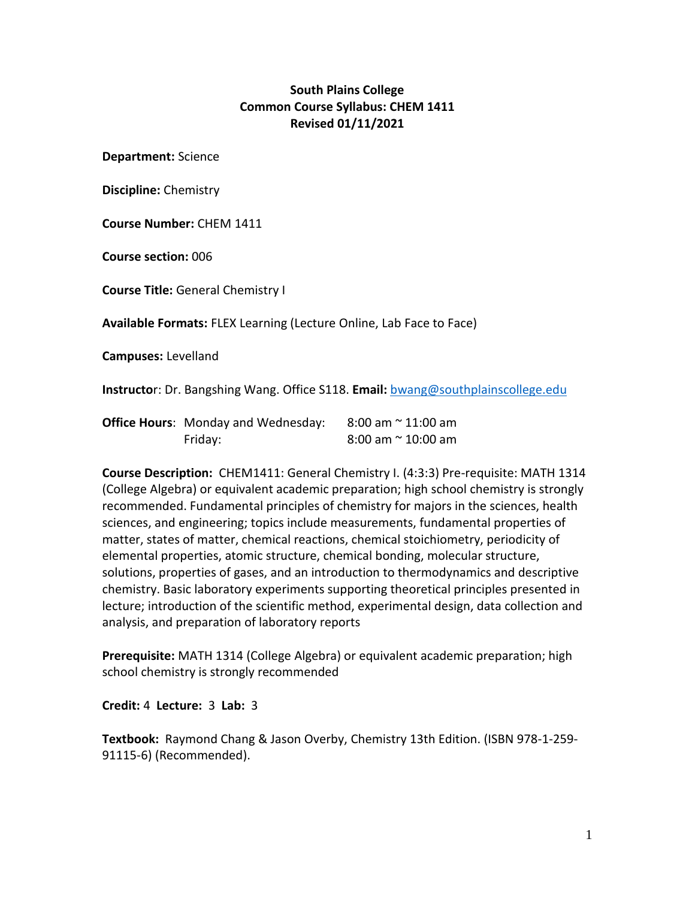# **South Plains College Common Course Syllabus: CHEM 1411 Revised 01/11/2021**

**Department:** Science

**Discipline:** Chemistry

**Course Number:** CHEM 1411

**Course section:** 006

**Course Title:** General Chemistry I

**Available Formats:** FLEX Learning (Lecture Online, Lab Face to Face)

**Campuses:** Levelland

**Instructo**r: Dr. Bangshing Wang. Office S118. **Email:** [bwang@southplainscollege.edu](mailto:bwang@southplainscollege.edu)

| <b>Office Hours:</b> Monday and Wednesday: | $8:00$ am $^{\sim}$ 11:00 am |
|--------------------------------------------|------------------------------|
| Friday:                                    | $8:00$ am $^{\sim}$ 10:00 am |

**Course Description:** CHEM1411: General Chemistry I. (4:3:3) Pre-requisite: MATH 1314 (College Algebra) or equivalent academic preparation; high school chemistry is strongly recommended. Fundamental principles of chemistry for majors in the sciences, health sciences, and engineering; topics include measurements, fundamental properties of matter, states of matter, chemical reactions, chemical stoichiometry, periodicity of elemental properties, atomic structure, chemical bonding, molecular structure, solutions, properties of gases, and an introduction to thermodynamics and descriptive chemistry. Basic laboratory experiments supporting theoretical principles presented in lecture; introduction of the scientific method, experimental design, data collection and analysis, and preparation of laboratory reports

**Prerequisite:** MATH 1314 (College Algebra) or equivalent academic preparation; high school chemistry is strongly recommended

**Credit:** 4 **Lecture:** 3 **Lab:** 3

**Textbook:** Raymond Chang & Jason Overby, Chemistry 13th Edition. (ISBN 978-1-259- 91115-6) (Recommended).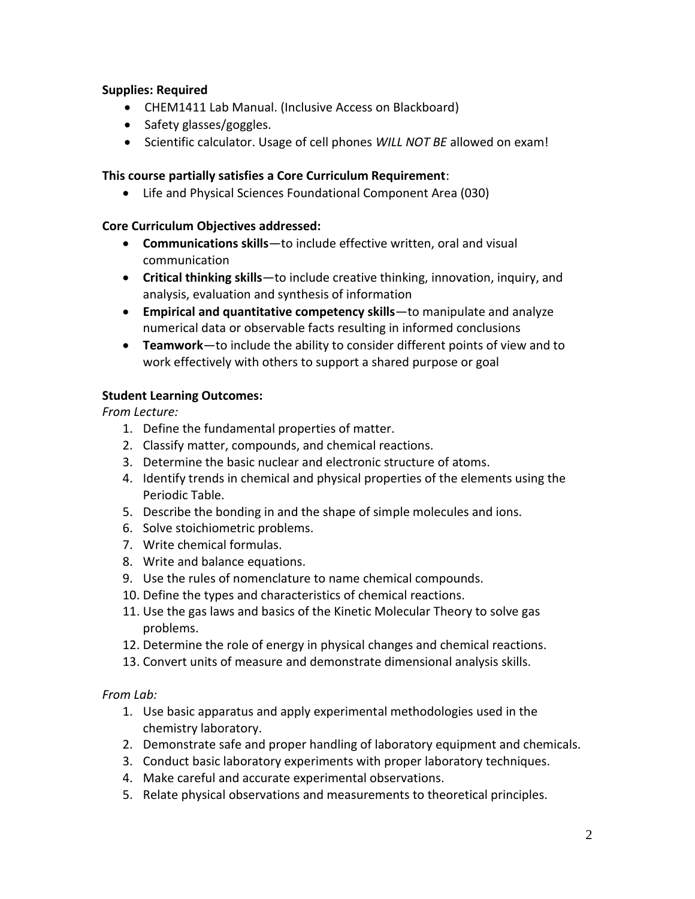## **Supplies: Required**

- CHEM1411 Lab Manual. (Inclusive Access on Blackboard)
- Safety glasses/goggles.
- Scientific calculator. Usage of cell phones *WILL NOT BE* allowed on exam!

#### **This course partially satisfies a Core Curriculum Requirement**:

• Life and Physical Sciences Foundational Component Area (030)

#### **Core Curriculum Objectives addressed:**

- **Communications skills**—to include effective written, oral and visual communication
- **Critical thinking skills**—to include creative thinking, innovation, inquiry, and analysis, evaluation and synthesis of information
- **Empirical and quantitative competency skills**—to manipulate and analyze numerical data or observable facts resulting in informed conclusions
- **Teamwork**—to include the ability to consider different points of view and to work effectively with others to support a shared purpose or goal

#### **Student Learning Outcomes:**

*From Lecture:* 

- 1. Define the fundamental properties of matter.
- 2. Classify matter, compounds, and chemical reactions.
- 3. Determine the basic nuclear and electronic structure of atoms.
- 4. Identify trends in chemical and physical properties of the elements using the Periodic Table.
- 5. Describe the bonding in and the shape of simple molecules and ions.
- 6. Solve stoichiometric problems.
- 7. Write chemical formulas.
- 8. Write and balance equations.
- 9. Use the rules of nomenclature to name chemical compounds.
- 10. Define the types and characteristics of chemical reactions.
- 11. Use the gas laws and basics of the Kinetic Molecular Theory to solve gas problems.
- 12. Determine the role of energy in physical changes and chemical reactions.
- 13. Convert units of measure and demonstrate dimensional analysis skills.

*From Lab:* 

- 1. Use basic apparatus and apply experimental methodologies used in the chemistry laboratory.
- 2. Demonstrate safe and proper handling of laboratory equipment and chemicals.
- 3. Conduct basic laboratory experiments with proper laboratory techniques.
- 4. Make careful and accurate experimental observations.
- 5. Relate physical observations and measurements to theoretical principles.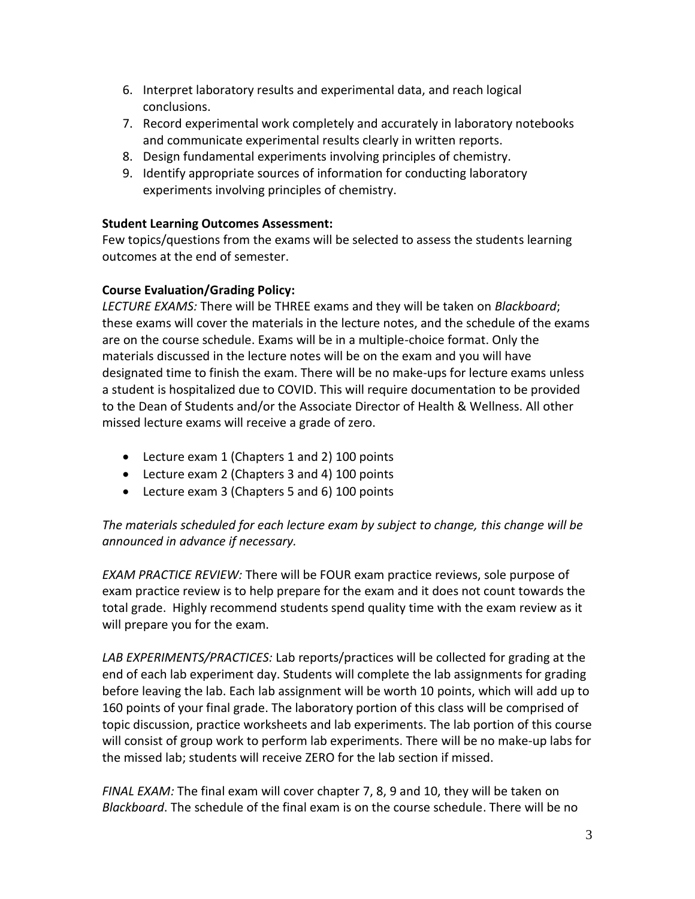- 6. Interpret laboratory results and experimental data, and reach logical conclusions.
- 7. Record experimental work completely and accurately in laboratory notebooks and communicate experimental results clearly in written reports.
- 8. Design fundamental experiments involving principles of chemistry.
- 9. Identify appropriate sources of information for conducting laboratory experiments involving principles of chemistry.

# **Student Learning Outcomes Assessment:**

Few topics/questions from the exams will be selected to assess the students learning outcomes at the end of semester.

# **Course Evaluation/Grading Policy:**

*LECTURE EXAMS:* There will be THREE exams and they will be taken on *Blackboard*; these exams will cover the materials in the lecture notes, and the schedule of the exams are on the course schedule. Exams will be in a multiple-choice format. Only the materials discussed in the lecture notes will be on the exam and you will have designated time to finish the exam. There will be no make-ups for lecture exams unless a student is hospitalized due to COVID. This will require documentation to be provided to the Dean of Students and/or the Associate Director of Health & Wellness. All other missed lecture exams will receive a grade of zero.

- Lecture exam 1 (Chapters 1 and 2) 100 points
- Lecture exam 2 (Chapters 3 and 4) 100 points
- Lecture exam 3 (Chapters 5 and 6) 100 points

# *The materials scheduled for each lecture exam by subject to change, this change will be announced in advance if necessary.*

*EXAM PRACTICE REVIEW:* There will be FOUR exam practice reviews, sole purpose of exam practice review is to help prepare for the exam and it does not count towards the total grade. Highly recommend students spend quality time with the exam review as it will prepare you for the exam.

*LAB EXPERIMENTS/PRACTICES:* Lab reports/practices will be collected for grading at the end of each lab experiment day. Students will complete the lab assignments for grading before leaving the lab. Each lab assignment will be worth 10 points, which will add up to 160 points of your final grade. The laboratory portion of this class will be comprised of topic discussion, practice worksheets and lab experiments. The lab portion of this course will consist of group work to perform lab experiments. There will be no make-up labs for the missed lab; students will receive ZERO for the lab section if missed.

*FINAL EXAM:* The final exam will cover chapter 7, 8, 9 and 10, they will be taken on *Blackboard*. The schedule of the final exam is on the course schedule. There will be no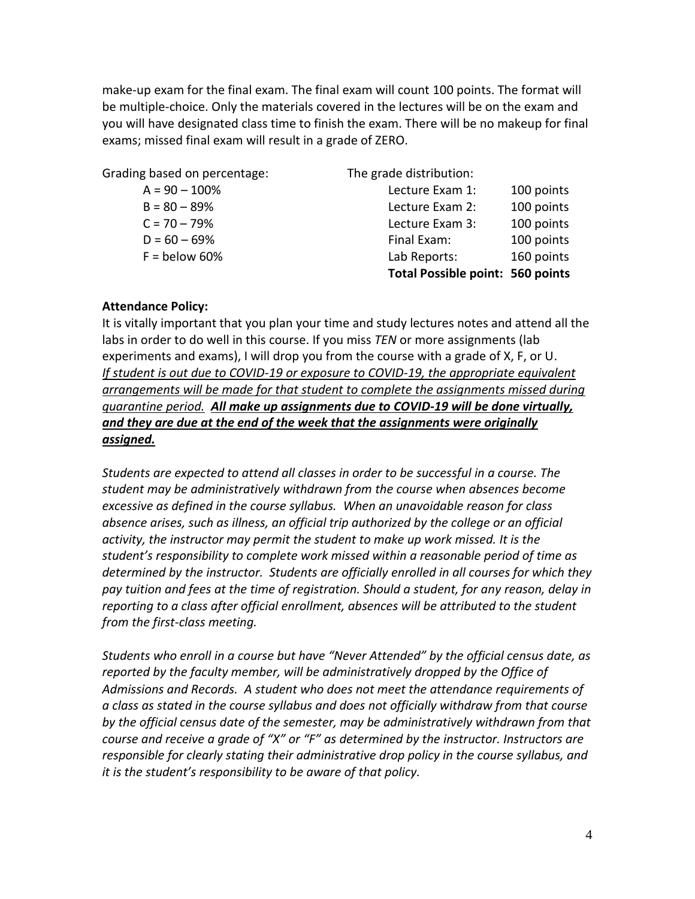make-up exam for the final exam. The final exam will count 100 points. The format will be multiple-choice. Only the materials covered in the lectures will be on the exam and you will have designated class time to finish the exam. There will be no makeup for final exams; missed final exam will result in a grade of ZERO.

Grading based on percentage: The grade distribution:

|                  | <b>Total Possible point: 560 points</b> |            |
|------------------|-----------------------------------------|------------|
| $F =$ below 60%  | Lab Reports:                            | 160 points |
| $D = 60 - 69%$   | Final Exam:                             | 100 points |
| $C = 70 - 79\%$  | Lecture Exam 3:                         | 100 points |
| $B = 80 - 89%$   | Lecture Exam 2:                         | 100 points |
| $A = 90 - 100\%$ | Lecture Exam 1:                         | 100 points |

#### **Attendance Policy:**

It is vitally important that you plan your time and study lectures notes and attend all the labs in order to do well in this course. If you miss *TEN* or more assignments (lab experiments and exams), I will drop you from the course with a grade of X, F, or U. *If student is out due to COVID-19 or exposure to COVID-19, the appropriate equivalent arrangements will be made for that student to complete the assignments missed during quarantine period. All make up assignments due to COVID-19 will be done virtually, and they are due at the end of the week that the assignments were originally assigned.*

*Students are expected to attend all classes in order to be successful in a course. The student may be administratively withdrawn from the course when absences become excessive as defined in the course syllabus. When an unavoidable reason for class absence arises, such as illness, an official trip authorized by the college or an official activity, the instructor may permit the student to make up work missed. It is the student's responsibility to complete work missed within a reasonable period of time as determined by the instructor. Students are officially enrolled in all courses for which they pay tuition and fees at the time of registration. Should a student, for any reason, delay in reporting to a class after official enrollment, absences will be attributed to the student from the first-class meeting.*

*Students who enroll in a course but have "Never Attended" by the official census date, as reported by the faculty member, will be administratively dropped by the Office of Admissions and Records. A student who does not meet the attendance requirements of a class as stated in the course syllabus and does not officially withdraw from that course by the official census date of the semester, may be administratively withdrawn from that course and receive a grade of "X" or "F" as determined by the instructor. Instructors are responsible for clearly stating their administrative drop policy in the course syllabus, and it is the student's responsibility to be aware of that policy.*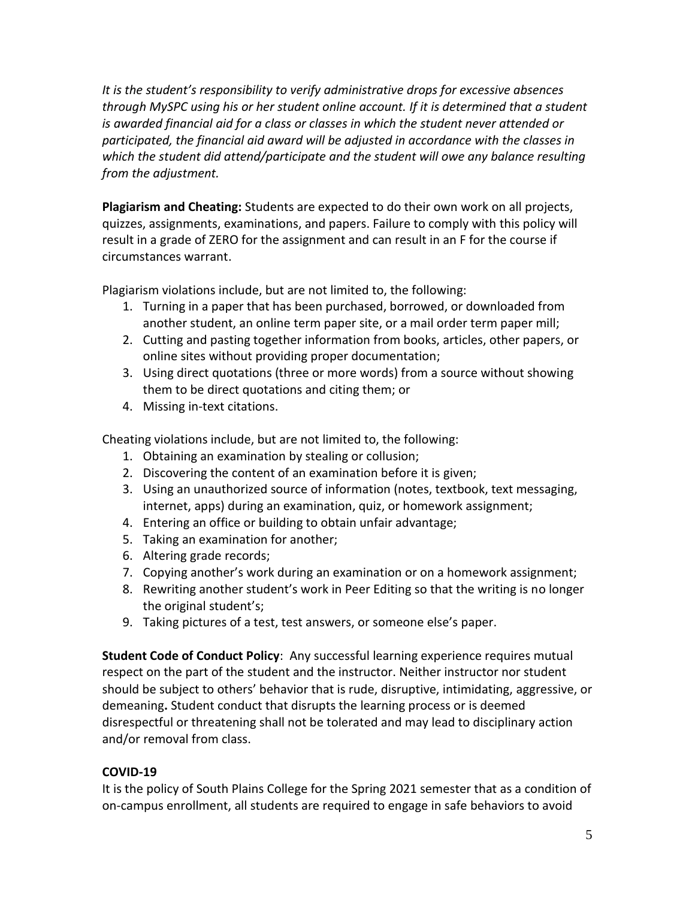*It is the student's responsibility to verify administrative drops for excessive absences through MySPC using his or her student online account. If it is determined that a student is awarded financial aid for a class or classes in which the student never attended or participated, the financial aid award will be adjusted in accordance with the classes in which the student did attend/participate and the student will owe any balance resulting from the adjustment.*

**Plagiarism and Cheating:** Students are expected to do their own work on all projects, quizzes, assignments, examinations, and papers. Failure to comply with this policy will result in a grade of ZERO for the assignment and can result in an F for the course if circumstances warrant.

Plagiarism violations include, but are not limited to, the following:

- 1. Turning in a paper that has been purchased, borrowed, or downloaded from another student, an online term paper site, or a mail order term paper mill;
- 2. Cutting and pasting together information from books, articles, other papers, or online sites without providing proper documentation;
- 3. Using direct quotations (three or more words) from a source without showing them to be direct quotations and citing them; or
- 4. Missing in-text citations.

Cheating violations include, but are not limited to, the following:

- 1. Obtaining an examination by stealing or collusion;
- 2. Discovering the content of an examination before it is given;
- 3. Using an unauthorized source of information (notes, textbook, text messaging, internet, apps) during an examination, quiz, or homework assignment;
- 4. Entering an office or building to obtain unfair advantage;
- 5. Taking an examination for another;
- 6. Altering grade records;
- 7. Copying another's work during an examination or on a homework assignment;
- 8. Rewriting another student's work in Peer Editing so that the writing is no longer the original student's;
- 9. Taking pictures of a test, test answers, or someone else's paper.

**Student Code of Conduct Policy**: Any successful learning experience requires mutual respect on the part of the student and the instructor. Neither instructor nor student should be subject to others' behavior that is rude, disruptive, intimidating, aggressive, or demeaning**.** Student conduct that disrupts the learning process or is deemed disrespectful or threatening shall not be tolerated and may lead to disciplinary action and/or removal from class.

## **COVID-19**

It is the policy of South Plains College for the Spring 2021 semester that as a condition of on-campus enrollment, all students are required to engage in safe behaviors to avoid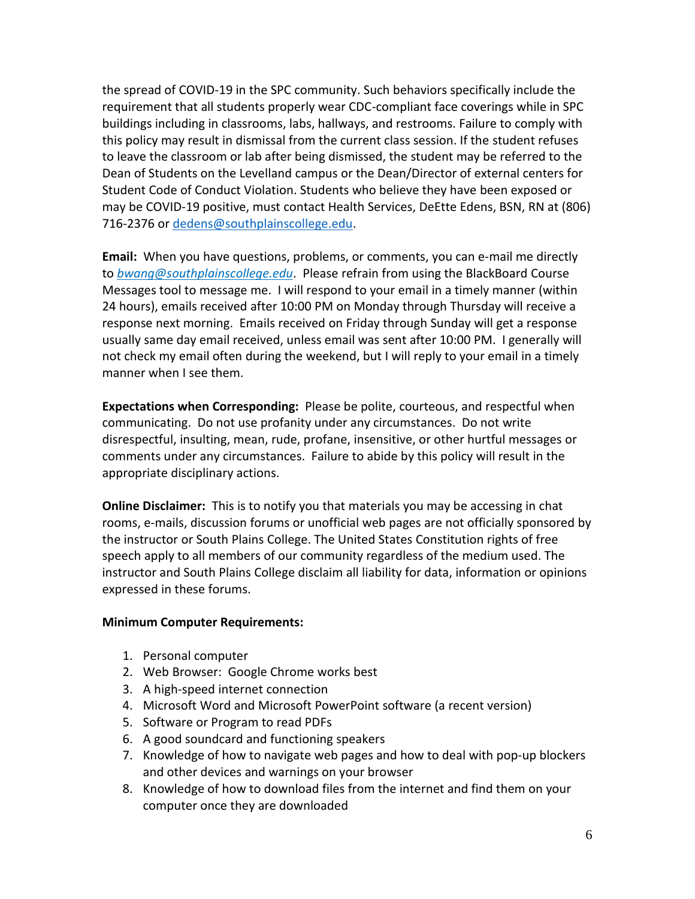the spread of COVID-19 in the SPC community. Such behaviors specifically include the requirement that all students properly wear CDC-compliant face coverings while in SPC buildings including in classrooms, labs, hallways, and restrooms. Failure to comply with this policy may result in dismissal from the current class session. If the student refuses to leave the classroom or lab after being dismissed, the student may be referred to the Dean of Students on the Levelland campus or the Dean/Director of external centers for Student Code of Conduct Violation. Students who believe they have been exposed or may be COVID-19 positive, must contact Health Services, DeEtte Edens, BSN, RN at (806) 716-2376 or [dedens@southplainscollege.edu.](mailto:dedens@southplainscollege.edu)

**Email:** When you have questions, problems, or comments, you can e-mail me directly to *bwang@southplainscollege.edu*. Please refrain from using the BlackBoard Course Messages tool to message me. I will respond to your email in a timely manner (within 24 hours), emails received after 10:00 PM on Monday through Thursday will receive a response next morning. Emails received on Friday through Sunday will get a response usually same day email received, unless email was sent after 10:00 PM. I generally will not check my email often during the weekend, but I will reply to your email in a timely manner when I see them.

**Expectations when Corresponding:** Please be polite, courteous, and respectful when communicating. Do not use profanity under any circumstances. Do not write disrespectful, insulting, mean, rude, profane, insensitive, or other hurtful messages or comments under any circumstances. Failure to abide by this policy will result in the appropriate disciplinary actions.

**Online Disclaimer:** This is to notify you that materials you may be accessing in chat rooms, e-mails, discussion forums or unofficial web pages are not officially sponsored by the instructor or South Plains College. The United States Constitution rights of free speech apply to all members of our community regardless of the medium used. The instructor and South Plains College disclaim all liability for data, information or opinions expressed in these forums.

#### **Minimum Computer Requirements:**

- 1. Personal computer
- 2. Web Browser: Google Chrome works best
- 3. A high-speed internet connection
- 4. Microsoft Word and Microsoft PowerPoint software (a recent version)
- 5. Software or Program to read PDFs
- 6. A good soundcard and functioning speakers
- 7. Knowledge of how to navigate web pages and how to deal with pop-up blockers and other devices and warnings on your browser
- 8. Knowledge of how to download files from the internet and find them on your computer once they are downloaded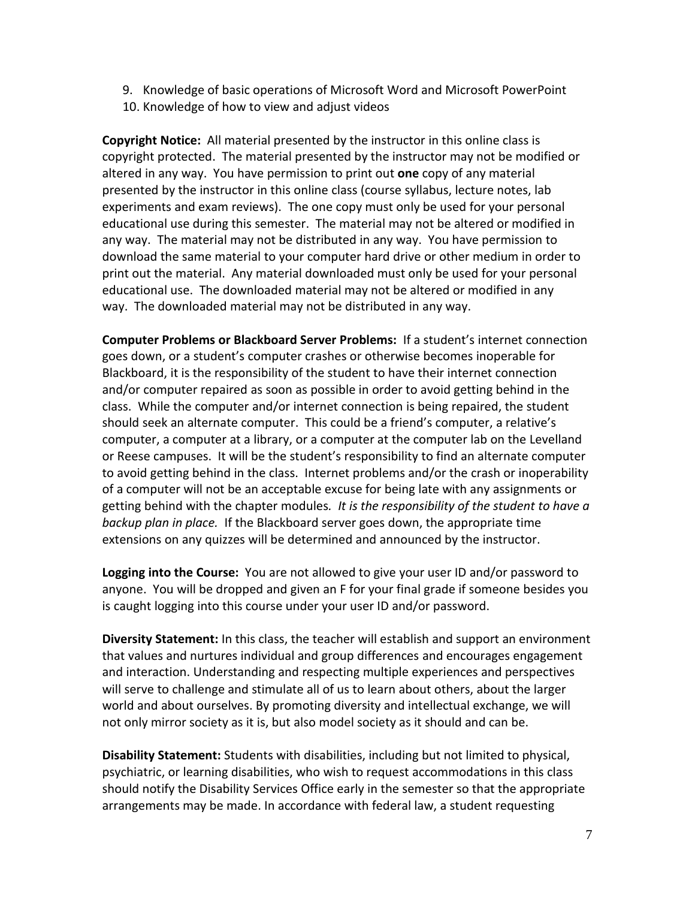- 9. Knowledge of basic operations of Microsoft Word and Microsoft PowerPoint
- 10. Knowledge of how to view and adjust videos

**Copyright Notice:** All material presented by the instructor in this online class is copyright protected. The material presented by the instructor may not be modified or altered in any way. You have permission to print out **one** copy of any material presented by the instructor in this online class (course syllabus, lecture notes, lab experiments and exam reviews). The one copy must only be used for your personal educational use during this semester. The material may not be altered or modified in any way. The material may not be distributed in any way. You have permission to download the same material to your computer hard drive or other medium in order to print out the material. Any material downloaded must only be used for your personal educational use. The downloaded material may not be altered or modified in any way. The downloaded material may not be distributed in any way.

**Computer Problems or Blackboard Server Problems:** If a student's internet connection goes down, or a student's computer crashes or otherwise becomes inoperable for Blackboard, it is the responsibility of the student to have their internet connection and/or computer repaired as soon as possible in order to avoid getting behind in the class. While the computer and/or internet connection is being repaired, the student should seek an alternate computer. This could be a friend's computer, a relative's computer, a computer at a library, or a computer at the computer lab on the Levelland or Reese campuses. It will be the student's responsibility to find an alternate computer to avoid getting behind in the class. Internet problems and/or the crash or inoperability of a computer will not be an acceptable excuse for being late with any assignments or getting behind with the chapter modules*. It is the responsibility of the student to have a backup plan in place.* If the Blackboard server goes down, the appropriate time extensions on any quizzes will be determined and announced by the instructor.

**Logging into the Course:** You are not allowed to give your user ID and/or password to anyone. You will be dropped and given an F for your final grade if someone besides you is caught logging into this course under your user ID and/or password.

**Diversity Statement:** In this class, the teacher will establish and support an environment that values and nurtures individual and group differences and encourages engagement and interaction. Understanding and respecting multiple experiences and perspectives will serve to challenge and stimulate all of us to learn about others, about the larger world and about ourselves. By promoting diversity and intellectual exchange, we will not only mirror society as it is, but also model society as it should and can be.

**Disability Statement:** Students with disabilities, including but not limited to physical, psychiatric, or learning disabilities, who wish to request accommodations in this class should notify the Disability Services Office early in the semester so that the appropriate arrangements may be made. In accordance with federal law, a student requesting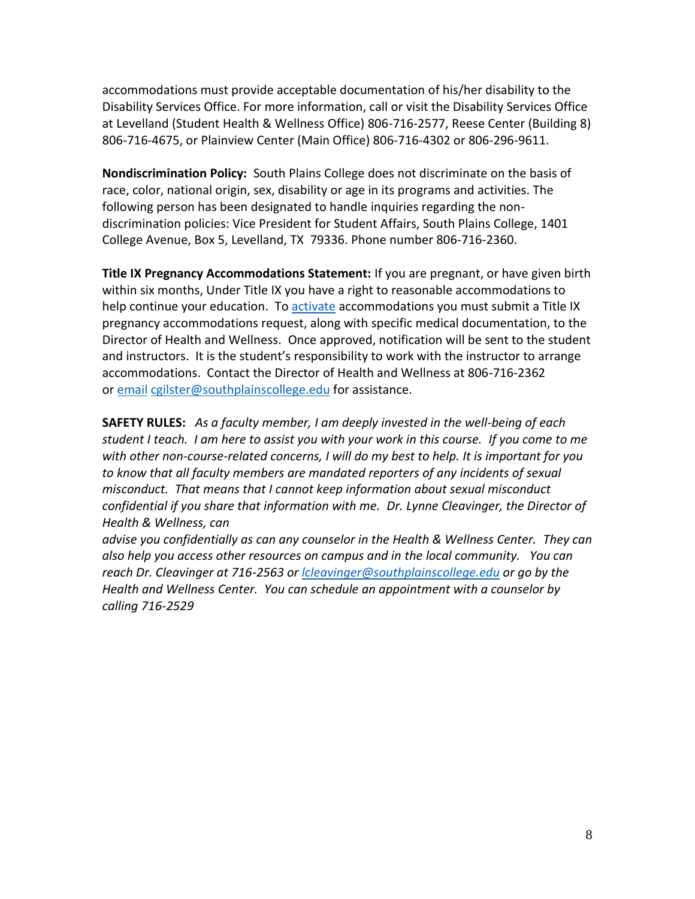accommodations must provide acceptable documentation of his/her disability to the Disability Services Office. For more information, call or visit the Disability Services Office at Levelland (Student Health & Wellness Office) 806-716-2577, Reese Center (Building 8) 806-716-4675, or Plainview Center (Main Office) 806-716-4302 or 806-296-9611.

**Nondiscrimination Policy:** South Plains College does not discriminate on the basis of race, color, national origin, sex, disability or age in its programs and activities. The following person has been designated to handle inquiries regarding the nondiscrimination policies: Vice President for Student Affairs, South Plains College, 1401 College Avenue, Box 5, Levelland, TX 79336. Phone number 806-716-2360.

**Title IX Pregnancy Accommodations Statement:** If you are pregnant, or have given birth within six months, Under Title IX you have a right to reasonable accommodations to help continue your education. To [activate](http://www.southplainscollege.edu/employees/manualshandbooks/facultyhandbook/sec4.php) accommodations you must submit a Title IX pregnancy accommodations request, along with specific medical documentation, to the Director of Health and Wellness. Once approved, notification will be sent to the student and instructors. It is the student's responsibility to work with the instructor to arrange accommodations. Contact the Director of Health and Wellness at 806-716-2362 or [email](http://www.southplainscollege.edu/employees/manualshandbooks/facultyhandbook/sec4.php) [cgilster@southplainscollege.edu](mailto:cgilster@southplainscollege.edu) for assistance.

**SAFETY RULES:** *As a faculty member, I am deeply invested in the well-being of each student I teach. I am here to assist you with your work in this course. If you come to me with other non-course-related concerns, I will do my best to help. It is important for you to know that all faculty members are mandated reporters of any incidents of sexual misconduct. That means that I cannot keep information about sexual misconduct confidential if you share that information with me. Dr. Lynne Cleavinger, the Director of Health & Wellness, can* 

*advise you confidentially as can any counselor in the Health & Wellness Center. They can also help you access other resources on campus and in the local community. You can reach Dr. Cleavinger at 716-2563 or [lcleavinger@southplainscollege.edu](mailto:lcleavinger@southplainscollege.edu) or go by the Health and Wellness Center. You can schedule an appointment with a counselor by calling 716-2529*